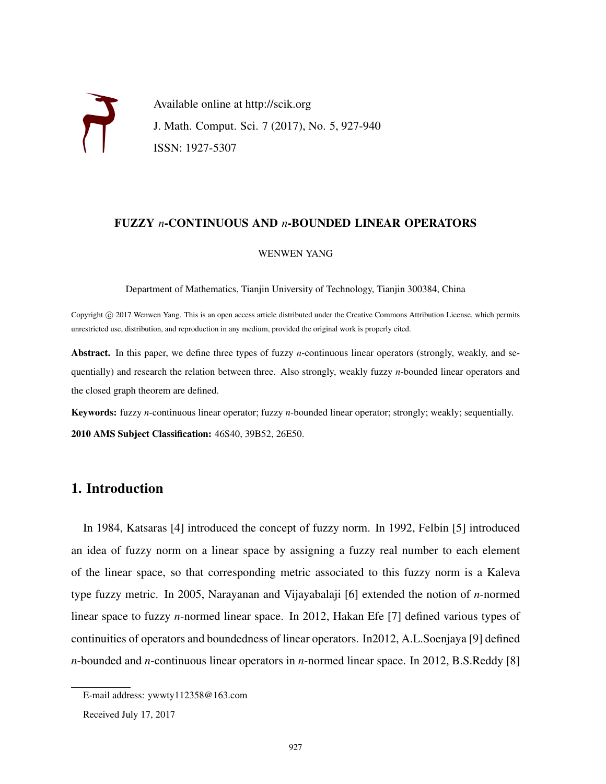Available online at http://scik.org J. Math. Comput. Sci. 7 (2017), No. 5, 927-940 ISSN: 1927-5307

## FUZZY *n*-CONTINUOUS AND *n*-BOUNDED LINEAR OPERATORS

#### WENWEN YANG

Department of Mathematics, Tianjin University of Technology, Tianjin 300384, China

Copyright © 2017 Wenwen Yang. This is an open access article distributed under the Creative Commons Attribution License, which permits unrestricted use, distribution, and reproduction in any medium, provided the original work is properly cited.

Abstract. In this paper, we define three types of fuzzy *n*-continuous linear operators (strongly, weakly, and sequentially) and research the relation between three. Also strongly, weakly fuzzy *n*-bounded linear operators and the closed graph theorem are defined.

Keywords: fuzzy *n*-continuous linear operator; fuzzy *n*-bounded linear operator; strongly; weakly; sequentially. 2010 AMS Subject Classification: 46S40, 39B52, 26E50.

# 1. Introduction

In 1984, Katsaras [4] introduced the concept of fuzzy norm. In 1992, Felbin [5] introduced an idea of fuzzy norm on a linear space by assigning a fuzzy real number to each element of the linear space, so that corresponding metric associated to this fuzzy norm is a Kaleva type fuzzy metric. In 2005, Narayanan and Vijayabalaji [6] extended the notion of *n*-normed linear space to fuzzy *n*-normed linear space. In 2012, Hakan Efe [7] defined various types of continuities of operators and boundedness of linear operators. In2012, A.L.Soenjaya [9] defined *n*-bounded and *n*-continuous linear operators in *n*-normed linear space. In 2012, B.S.Reddy [8]

E-mail address: ywwty112358@163.com

Received July 17, 2017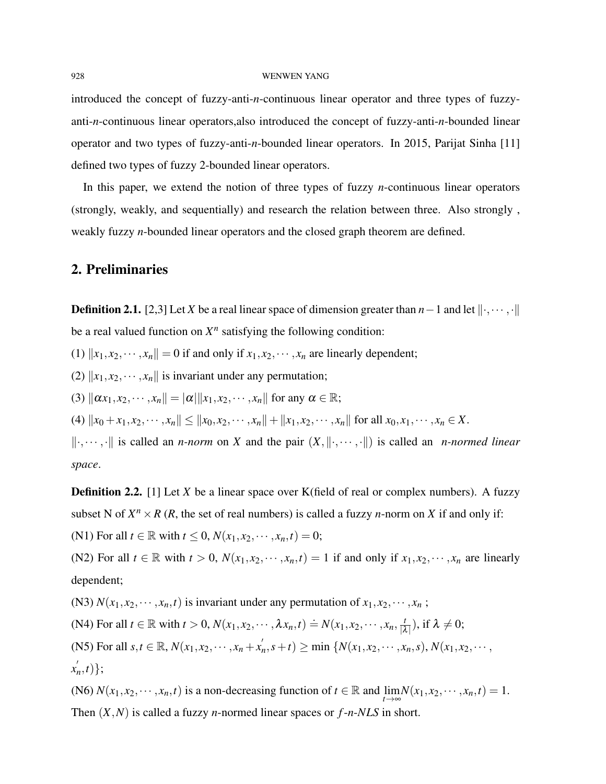### 928 WENWEN YANG

introduced the concept of fuzzy-anti-*n*-continuous linear operator and three types of fuzzyanti-*n*-continuous linear operators,also introduced the concept of fuzzy-anti-*n*-bounded linear operator and two types of fuzzy-anti-*n*-bounded linear operators. In 2015, Parijat Sinha [11] defined two types of fuzzy 2-bounded linear operators.

In this paper, we extend the notion of three types of fuzzy *n*-continuous linear operators (strongly, weakly, and sequentially) and research the relation between three. Also strongly , weakly fuzzy *n*-bounded linear operators and the closed graph theorem are defined.

## 2. Preliminaries

**Definition 2.1.** [2,3] Let *X* be a real linear space of dimension greater than *n* − 1 and let  $\|\cdot, \cdots, \cdot\|$ be a real valued function on  $X<sup>n</sup>$  satisfying the following condition:

(1)  $||x_1, x_2, \dots, x_n|| = 0$  if and only if  $x_1, x_2, \dots, x_n$  are linearly dependent;

(2)  $\|x_1, x_2, \dots, x_n\|$  is invariant under any permutation;

(3)  $\|\alpha x_1, x_2,\dots, x_n\| = |\alpha| \|x_1, x_2,\dots, x_n\|$  for any  $\alpha \in \mathbb{R}$ ;

(4)  $||x_0 + x_1, x_2, \dots, x_n|| \le ||x_0, x_2, \dots, x_n|| + ||x_1, x_2, \dots, x_n||$  for all  $x_0, x_1, \dots, x_n \in X$ .

 $\|\cdot, \dots, \cdot\|$  is called an *n-norm* on *X* and the pair  $(X, \|\cdot, \dots, \cdot\|)$  is called an *n-normed linear space*.

**Definition 2.2.** [1] Let *X* be a linear space over K(field of real or complex numbers). A fuzzy subset N of  $X^n \times R$  (*R*, the set of real numbers) is called a fuzzy *n*-norm on *X* if and only if:

(N1) For all  $t \in \mathbb{R}$  with  $t \le 0$ ,  $N(x_1, x_2, \dots, x_n, t) = 0$ ;

(N2) For all  $t \in \mathbb{R}$  with  $t > 0$ ,  $N(x_1, x_2, \dots, x_n, t) = 1$  if and only if  $x_1, x_2, \dots, x_n$  are linearly dependent;

(N3)  $N(x_1, x_2, \dots, x_n, t)$  is invariant under any permutation of  $x_1, x_2, \dots, x_n$ ;

 $(N4)$  For all  $t \in \mathbb{R}$  with  $t > 0$ ,  $N(x_1, x_2, \dots, \lambda x_n, t) \doteq N(x_1, x_2, \dots, x_n, \frac{t}{|A|})$  $\frac{t}{|\lambda|}$ ), if  $\lambda \neq 0$ ;

(N5) For all  $s, t \in \mathbb{R}$ ,  $N(x_1, x_2, \dots, x_n + x_n^{'})$  $N(n, s+t) \ge \min \{N(x_1, x_2, \cdots, x_n, s), N(x_1, x_2, \cdots, s_n)\}$ 

 $x'_i$ *n* ,*t*)};

(N6)  $N(x_1, x_2, \dots, x_n, t)$  is a non-decreasing function of  $t \in \mathbb{R}$  and  $\lim_{t \to \infty} N(x_1, x_2, \dots, x_n, t) = 1$ . Then (*X*,*N*) is called a fuzzy *n*-normed linear spaces or *f*-*n*-*NLS* in short.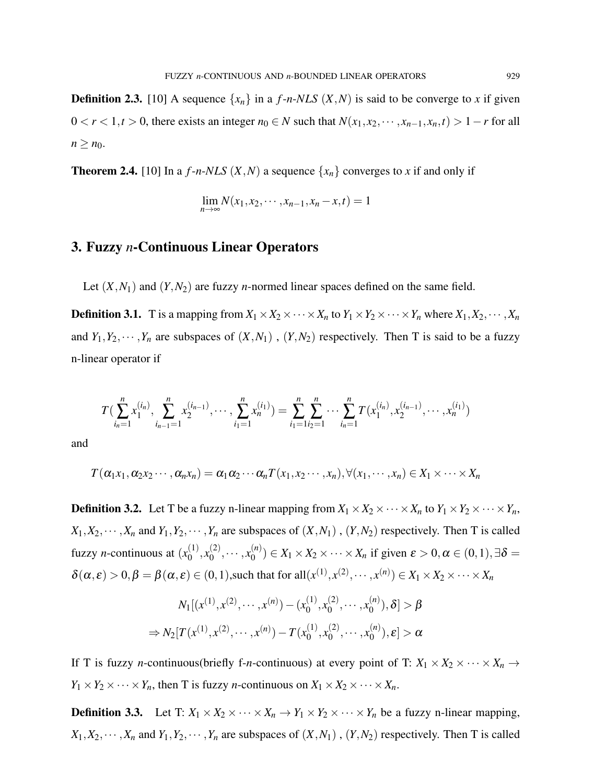**Definition 2.3.** [10] A sequence  $\{x_n\}$  in a *f*-*n*-*NLS*  $(X, N)$  is said to be converge to *x* if given  $0 < r < 1, t > 0$ , there exists an integer  $n_0 \in N$  such that  $N(x_1, x_2, \dots, x_{n-1}, x_n, t) > 1 - r$  for all  $n \geq n_0$ .

**Theorem 2.4.** [10] In a  $f$ -*n*-*NLS*  $(X, N)$  a sequence  $\{x_n\}$  converges to *x* if and only if

$$
\lim_{n\to\infty} N(x_1,x_2,\cdots,x_{n-1},x_n-x,t)=1
$$

## 3. Fuzzy *n*-Continuous Linear Operators

Let  $(X, N_1)$  and  $(Y, N_2)$  are fuzzy *n*-normed linear spaces defined on the same field.

**Definition 3.1.** T is a mapping from  $X_1 \times X_2 \times \cdots \times X_n$  to  $Y_1 \times Y_2 \times \cdots \times Y_n$  where  $X_1, X_2, \cdots, X_n$ and  $Y_1, Y_2, \dots, Y_n$  are subspaces of  $(X, N_1)$ ,  $(Y, N_2)$  respectively. Then T is said to be a fuzzy n-linear operator if

$$
T\left(\sum_{i_n=1}^n x_1^{(i_n)}, \sum_{i_{n-1}=1}^n x_2^{(i_{n-1})}, \cdots, \sum_{i_1=1}^n x_n^{(i_1)}\right) = \sum_{i_1=1}^n \sum_{i_2=1}^n \cdots \sum_{i_n=1}^n T\left(x_1^{(i_n)}, x_2^{(i_{n-1})}, \cdots, x_n^{(i_1)}\right)
$$

and

$$
T(\alpha_1x_1,\alpha_2x_2\cdots,\alpha_nx_n)=\alpha_1\alpha_2\cdots\alpha_nT(x_1,x_2\cdots,x_n),\forall(x_1,\cdots,x_n)\in X_1\times\cdots\times X_n
$$

**Definition 3.2.** Let T be a fuzzy n-linear mapping from  $X_1 \times X_2 \times \cdots \times X_n$  to  $Y_1 \times Y_2 \times \cdots \times Y_n$ ,  $X_1, X_2, \dots, X_n$  and  $Y_1, Y_2, \dots, Y_n$  are subspaces of  $(X, N_1)$ ,  $(Y, N_2)$  respectively. Then T is called fuzzy *n*-continuous at  $(x_0^{(1)})$  $\binom{(1)}{0}, x_0^{(2)}$  $x_0^{(2)}, \cdots, x_0^{(n)}$  $\mathcal{L}_{0}^{(n)}$ )  $\in X_1 \times X_2 \times \cdots \times X_n$  if given  $\varepsilon > 0, \alpha \in (0,1), \exists \delta =$  $\delta(\alpha, \varepsilon) > 0, \beta = \beta(\alpha, \varepsilon) \in (0, 1)$ , such that for all $(x^{(1)}, x^{(2)}, \dots, x^{(n)}) \in X_1 \times X_2 \times \dots \times X_n$ 

$$
N_1[(x^{(1)}, x^{(2)}, \cdots, x^{(n)}) - (x_0^{(1)}, x_0^{(2)}, \cdots, x_0^{(n)}), \delta] > \beta
$$
  

$$
\Rightarrow N_2[T(x^{(1)}, x^{(2)}, \cdots, x^{(n)}) - T(x_0^{(1)}, x_0^{(2)}, \cdots, x_0^{(n)}), \epsilon] > \alpha
$$

If T is fuzzy *n*-continuous(briefly f-*n*-continuous) at every point of T:  $X_1 \times X_2 \times \cdots \times X_n$  $Y_1 \times Y_2 \times \cdots \times Y_n$ , then T is fuzzy *n*-continuous on  $X_1 \times X_2 \times \cdots \times X_n$ .

**Definition 3.3.** Let T:  $X_1 \times X_2 \times \cdots \times X_n \to Y_1 \times Y_2 \times \cdots \times Y_n$  be a fuzzy n-linear mapping,  $X_1, X_2, \dots, X_n$  and  $Y_1, Y_2, \dots, Y_n$  are subspaces of  $(X, N_1)$ ,  $(Y, N_2)$  respectively. Then T is called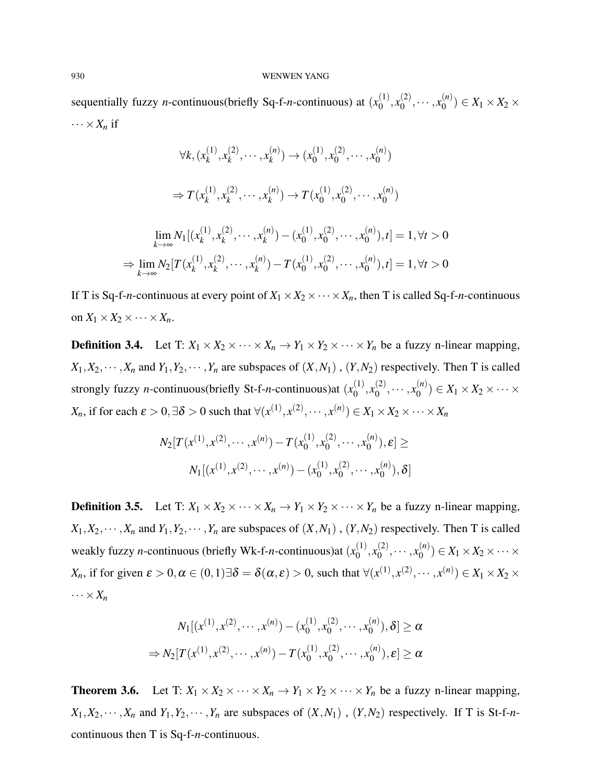#### 930 WENWEN YANG

sequentially fuzzy *n*-continuous(briefly Sq-f-*n*-continuous) at  $(x_0^{(1)}$  $\binom{(1)}{0}, x_0^{(2)}$  $x_0^{(2)}, \cdots, x_0^{(n)}$  $\binom{n}{0}$   $\in X_1 \times X_2 \times$  $\cdots \times X_n$  if

$$
\forall k, (x_k^{(1)}, x_k^{(2)}, \cdots, x_k^{(n)}) \to (x_0^{(1)}, x_0^{(2)}, \cdots, x_0^{(n)})
$$
  

$$
\Rightarrow T(x_k^{(1)}, x_k^{(2)}, \cdots, x_k^{(n)}) \to T(x_0^{(1)}, x_0^{(2)}, \cdots, x_0^{(n)})
$$
  

$$
\lim_{k \to \infty} N_1[(x_k^{(1)}, x_k^{(2)}, \cdots, x_k^{(n)}) - (x_0^{(1)}, x_0^{(2)}, \cdots, x_0^{(n)}), t] = 1, \forall t > 0
$$
  

$$
\Rightarrow \lim_{k \to \infty} N_2[T(x_k^{(1)}, x_k^{(2)}, \cdots, x_k^{(n)}) - T(x_0^{(1)}, x_0^{(2)}, \cdots, x_0^{(n)}), t] = 1, \forall t > 0
$$

If T is Sq-f-*n*-continuous at every point of  $X_1 \times X_2 \times \cdots \times X_n$ , then T is called Sq-f-*n*-continuous on  $X_1 \times X_2 \times \cdots \times X_n$ .

**Definition 3.4.** Let T:  $X_1 \times X_2 \times \cdots \times X_n \to Y_1 \times Y_2 \times \cdots \times Y_n$  be a fuzzy n-linear mapping,  $X_1, X_2, \cdots, X_n$  and  $Y_1, Y_2, \cdots, Y_n$  are subspaces of  $(X, N_1)$ ,  $(Y, N_2)$  respectively. Then T is called strongly fuzzy *n*-continuous(briefly St-f-*n*-continuous) at  $(x_0^{(1)})$  $\binom{(1)}{0}, x_0^{(2)}$  $x_0^{(2)}, \cdots, x_0^{(n)}$  $\binom{N}{0}$   $\in X_1 \times X_2 \times \cdots \times$ *X*<sub>n</sub>, if for each  $\varepsilon > 0$ ,  $\exists \delta > 0$  such that  $\forall (x^{(1)}, x^{(2)}, \dots, x^{(n)}) \in X_1 \times X_2 \times \dots \times X_n$ 

$$
N_2[T(x^{(1)}, x^{(2)}, \cdots, x^{(n)}) - T(x_0^{(1)}, x_0^{(2)}, \cdots, x_0^{(n)}), \varepsilon] \ge
$$
  

$$
N_1[(x^{(1)}, x^{(2)}, \cdots, x^{(n)}) - (x_0^{(1)}, x_0^{(2)}, \cdots, x_0^{(n)}), \delta]
$$

**Definition 3.5.** Let T:  $X_1 \times X_2 \times \cdots \times X_n \to Y_1 \times Y_2 \times \cdots \times Y_n$  be a fuzzy n-linear mapping,  $X_1, X_2, \cdots, X_n$  and  $Y_1, Y_2, \cdots, Y_n$  are subspaces of  $(X, N_1)$ ,  $(Y, N_2)$  respectively. Then T is called weakly fuzzy *n*-continuous (briefly Wk-f-*n*-continuous) at  $(x_0^{(1)})$  $\binom{(1)}{0}, x_0^{(2)}$  $x_0^{(2)}, \cdots, x_0^{(n)}$  $\binom{N}{0}$   $\in X_1 \times X_2 \times \cdots \times$ *X<sub>n</sub>*, if for given  $\varepsilon > 0, \alpha \in (0, 1)$   $\exists \delta = \delta(\alpha, \varepsilon) > 0$ , such that  $\forall (x^{(1)}, x^{(2)}, \dots, x^{(n)}) \in X_1 \times X_2 \times$  $\cdots \times X_n$ 

$$
N_1[(x^{(1)}, x^{(2)}, \cdots, x^{(n)}) - (x_0^{(1)}, x_0^{(2)}, \cdots, x_0^{(n)}), \delta] \ge \alpha
$$
  
\n
$$
\Rightarrow N_2[T(x^{(1)}, x^{(2)}, \cdots, x^{(n)}) - T(x_0^{(1)}, x_0^{(2)}, \cdots, x_0^{(n)}), \epsilon] \ge \alpha
$$

**Theorem 3.6.** Let T:  $X_1 \times X_2 \times \cdots \times X_n \to Y_1 \times Y_2 \times \cdots \times Y_n$  be a fuzzy n-linear mapping,  $X_1, X_2, \dots, X_n$  and  $Y_1, Y_2, \dots, Y_n$  are subspaces of  $(X, N_1)$ ,  $(Y, N_2)$  respectively. If T is St-f-*n*continuous then T is Sq-f-*n*-continuous.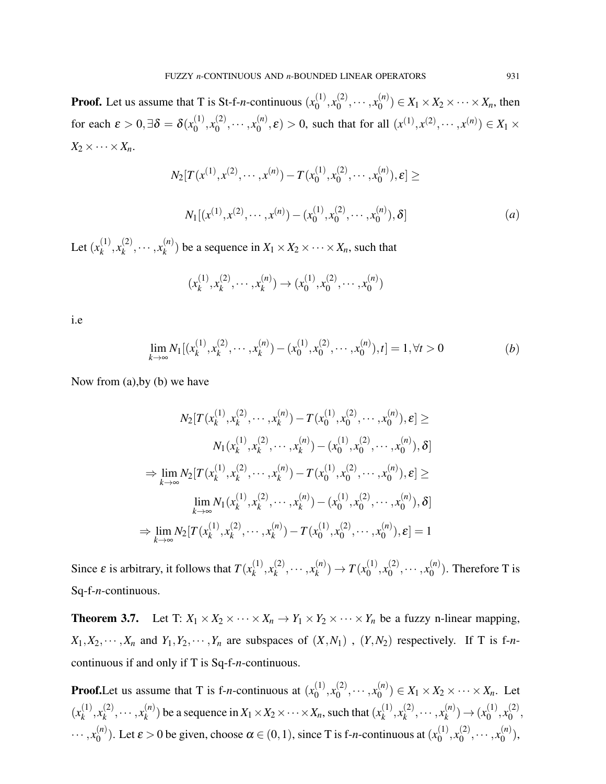**Proof.** Let us assume that T is St-f-*n*-continuous  $(x_0^{(1)})$  $\binom{(1)}{0}, x_0^{(2)}$  $x_0^{(2)}, \cdots, x_0^{(n)}$  $\binom{n}{0}$   $\in X_1 \times X_2 \times \cdots \times X_n$ , then for each  $\varepsilon > 0, \exists \delta = \delta(x_0^{(1)})$  $\binom{(1)}{0}, x_0^{(2)}$  $x_0^{(2)}, \cdots, x_0^{(n)}$  $\mathcal{L}_{0}^{(n)}(\mathcal{E}) > 0$ , such that for all  $(x^{(1)}, x^{(2)}, \dots, x^{(n)}) \in X_1 \times$  $X_2 \times \cdots \times X_n$ 

$$
N_2[T(x^{(1)}, x^{(2)}, \cdots, x^{(n)}) - T(x_0^{(1)}, x_0^{(2)}, \cdots, x_0^{(n)}), \varepsilon] \ge
$$
  

$$
N_1[(x^{(1)}, x^{(2)}, \cdots, x^{(n)}) - (x_0^{(1)}, x_0^{(2)}, \cdots, x_0^{(n)}), \delta]
$$
 (a)

Let  $(x_k^{(1)}$  $x_k^{(1)}, x_k^{(2)}$  $x_k^{(2)}, \cdots, x_k^{(n)}$  $k^{(n)}$  be a sequence in  $X_1 \times X_2 \times \cdots \times X_n$ , such that

$$
(x_k^{(1)}, x_k^{(2)}, \cdots, x_k^{(n)}) \to (x_0^{(1)}, x_0^{(2)}, \cdots, x_0^{(n)})
$$

i.e

$$
\lim_{k \to \infty} N_1[(x_k^{(1)}, x_k^{(2)}, \cdots, x_k^{(n)}) - (x_0^{(1)}, x_0^{(2)}, \cdots, x_0^{(n)}), t] = 1, \forall t > 0
$$
 (b)

Now from (a),by (b) we have

$$
N_2[T(x_k^{(1)}, x_k^{(2)}, \cdots, x_k^{(n)}) - T(x_0^{(1)}, x_0^{(2)}, \cdots, x_0^{(n)}), \varepsilon] \ge
$$
  
\n
$$
N_1(x_k^{(1)}, x_k^{(2)}, \cdots, x_k^{(n)}) - (x_0^{(1)}, x_0^{(2)}, \cdots, x_0^{(n)}), \delta]
$$
  
\n
$$
\Rightarrow \lim_{k \to \infty} N_2[T(x_k^{(1)}, x_k^{(2)}, \cdots, x_k^{(n)}) - T(x_0^{(1)}, x_0^{(2)}, \cdots, x_0^{(n)}), \varepsilon] \ge
$$
  
\n
$$
\lim_{k \to \infty} N_1(x_k^{(1)}, x_k^{(2)}, \cdots, x_k^{(n)}) - (x_0^{(1)}, x_0^{(2)}, \cdots, x_0^{(n)}), \delta]
$$
  
\n
$$
\Rightarrow \lim_{k \to \infty} N_2[T(x_k^{(1)}, x_k^{(2)}, \cdots, x_k^{(n)}) - T(x_0^{(1)}, x_0^{(2)}, \cdots, x_0^{(n)}), \varepsilon] = 1
$$

Since  $\varepsilon$  is arbitrary, it follows that  $T(x_k^{(1)})$  $x_k^{(1)}, x_k^{(2)}$  $x_k^{(2)}, \cdots, x_k^{(n)}$  ${k \choose k}$   $\to T(x_0^{(1)})$  $\binom{(1)}{0}, x_0^{(2)}$  $x_0^{(2)}, \cdots, x_0^{(n)}$  $\binom{n}{0}$ . Therefore T is Sq-f-*n*-continuous.

**Theorem 3.7.** Let T:  $X_1 \times X_2 \times \cdots \times X_n \to Y_1 \times Y_2 \times \cdots \times Y_n$  be a fuzzy n-linear mapping,  $X_1, X_2, \dots, X_n$  and  $Y_1, Y_2, \dots, Y_n$  are subspaces of  $(X, N_1)$ ,  $(Y, N_2)$  respectively. If T is f-*n*continuous if and only if T is Sq-f-*n*-continuous.

**Proof.** Let us assume that T is f-*n*-continuous at  $(x_0^{(1)})$  $\binom{(1)}{0}, x_0^{(2)}$  $x_0^{(2)}, \cdots, x_0^{(n)}$  $\binom{n}{0}$   $\in X_1 \times X_2 \times \cdots \times X_n$ . Let  $(x_k^{(1)}$  $x_k^{(1)}, x_k^{(2)}$  $x_k^{(2)}, \cdots, x_k^{(n)}$  $\binom{n}{k}$  be a sequence in  $X_1 \times X_2 \times \cdots \times X_n$ , such that  $\binom{n}{k}$  $x_k^{(1)}, x_k^{(2)}$  $x_k^{(2)}, \cdots, x_k^{(n)}$  $\binom{n}{k}$   $\to$   $\binom{x_0^{(1)}}{k}$  $\binom{(1)}{0}, x_0^{(2)}$  $\overset{(2)}{0},$  $\cdots$ ,  $x_0^{(n)}$ <sup>(*n*</sup>). Let  $\varepsilon > 0$  be given, choose  $\alpha \in (0,1)$ , since T is f-*n*-continuous at  $(x_0^{(1)}$  $\binom{(1)}{0}, x_0^{(2)}$  $x_0^{(2)}, \cdots, x_0^{(n)}$  $\binom{n}{0}$ ,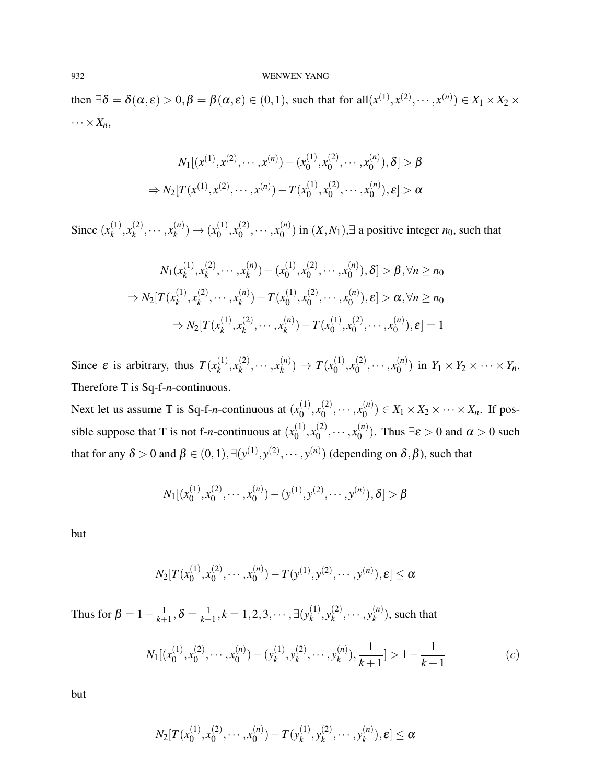#### 932 WENWEN YANG

then  $\exists \delta = \delta(\alpha, \varepsilon) > 0, \beta = \beta(\alpha, \varepsilon) \in (0, 1)$ , such that for all $(x^{(1)}, x^{(2)}, \dots, x^{(n)}) \in X_1 \times X_2 \times$  $\cdots \times X_n$ 

$$
N_1[(x^{(1)}, x^{(2)}, \cdots, x^{(n)}) - (x_0^{(1)}, x_0^{(2)}, \cdots, x_0^{(n)}), \delta] > \beta
$$
  
\n
$$
\Rightarrow N_2[T(x^{(1)}, x^{(2)}, \cdots, x^{(n)}) - T(x_0^{(1)}, x_0^{(2)}, \cdots, x_0^{(n)}), \epsilon] > \alpha
$$

Since  $(x_k^{(1)}$  $x_k^{(1)}, x_k^{(2)}$  $x_k^{(2)}, \cdots, x_k^{(n)}$  $\binom{n}{k}$   $\to$   $\binom{x_0^{(1)}}{k}$  $\binom{(1)}{0}, x_0^{(2)}$  $x_0^{(2)}, \cdots, x_0^{(n)}$  $\binom{n}{0}$  in  $(X, N_1)$ ,∃ a positive integer *n*<sub>0</sub>, such that

$$
N_1(x_k^{(1)}, x_k^{(2)}, \cdots, x_k^{(n)}) - (x_0^{(1)}, x_0^{(2)}, \cdots, x_0^{(n)}), \delta] > \beta, \forall n \ge n_0
$$
  
\n
$$
\Rightarrow N_2[T(x_k^{(1)}, x_k^{(2)}, \cdots, x_k^{(n)}) - T(x_0^{(1)}, x_0^{(2)}, \cdots, x_0^{(n)}), \epsilon] > \alpha, \forall n \ge n_0
$$
  
\n
$$
\Rightarrow N_2[T(x_k^{(1)}, x_k^{(2)}, \cdots, x_k^{(n)}) - T(x_0^{(1)}, x_0^{(2)}, \cdots, x_0^{(n)}), \epsilon] = 1
$$

Since  $\varepsilon$  is arbitrary, thus  $T(x_k^{(1)})$  $x_k^{(1)}, x_k^{(2)}$  $x_k^{(2)}, \cdots, x_k^{(n)}$  $f_k^{(n)}$   $\to T(x_0^{(1)})$  $\binom{(1)}{0}, x_0^{(2)}$  $x_0^{(2)}, \cdots, x_0^{(n)}$  $\binom{n}{0}$  in  $Y_1 \times Y_2 \times \cdots \times Y_n$ . Therefore T is Sq-f-*n*-continuous.

Next let us assume T is Sq-f-*n*-continuous at  $(x_0^{(1)})$  $\binom{(1)}{0}, x_0^{(2)}$  $x_0^{(2)}, \cdots, x_0^{(n)}$  $O_0^{(n)}$ )  $\in X_1 \times X_2 \times \cdots \times X_n$ . If possible suppose that T is not f-*n*-continuous at  $(x_0^{(1)})$  $\binom{(1)}{0}, x_0^{(2)}$  $x_0^{(2)}, \cdots, x_0^{(n)}$  $\binom{n}{0}$ . Thus  $\exists \varepsilon > 0$  and  $\alpha > 0$  such that for any  $\delta > 0$  and  $\beta \in (0,1), \exists (y^{(1)}, y^{(2)}, \cdots, y^{(n)})$  (depending on  $\delta, \beta$ ), such that

$$
N_1[(x_0^{(1)}, x_0^{(2)}, \cdots, x_0^{(n)}) - (y^{(1)}, y^{(2)}, \cdots, y^{(n)}), \delta] > \beta
$$

but

$$
N_2[T(x_0^{(1)}, x_0^{(2)}, \cdots, x_0^{(n)}) - T(y_0^{(1)}, y_0^{(2)}, \cdots, y_n^{(n)}), \varepsilon] \le \alpha
$$

Thus for  $\beta = 1 - \frac{1}{k+1}$  $\frac{1}{k+1}, \delta = \frac{1}{k+1}$  $\frac{1}{k+1}, k = 1, 2, 3, \cdots, \exists (y_k^{(1)}$  $\binom{(1)}{k}, \mathcal{Y}_k^{(2)}$  $\binom{2}{k}$ ,  $\cdots$ ,  $y_k^{(n)}$  $\binom{n}{k}$ , such that

$$
N_1[(x_0^{(1)}, x_0^{(2)}, \cdots, x_0^{(n)}) - (y_k^{(1)}, y_k^{(2)}, \cdots, y_k^{(n)}), \frac{1}{k+1}] > 1 - \frac{1}{k+1}
$$
 (c)

but

$$
N_2[T(x_0^{(1)},x_0^{(2)},\cdots,x_0^{(n)})-T(y_k^{(1)},y_k^{(2)},\cdots,y_k^{(n)}),\pmb{\varepsilon}]\leq \pmb{\alpha}
$$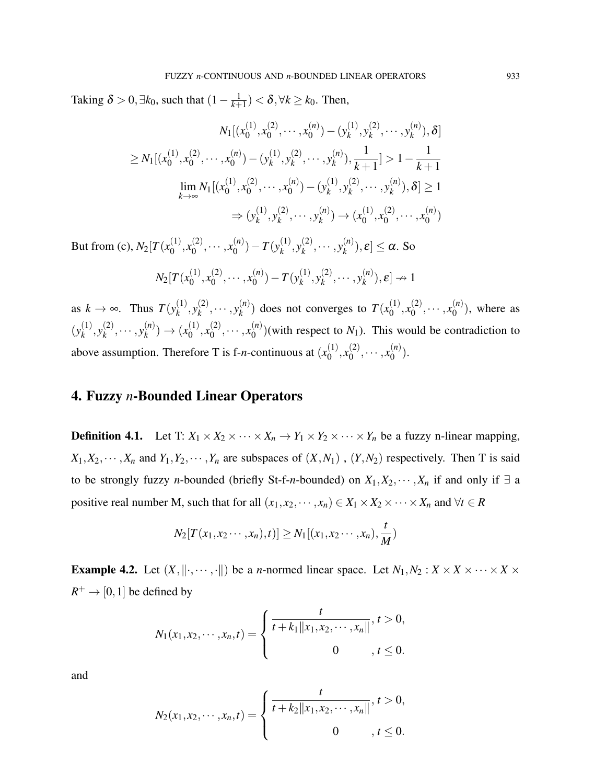Taking  $\delta > 0$ ,  $\exists k_0$ , such that  $(1 - \frac{1}{k+1})$  $\frac{1}{k+1}$ ) <  $\delta$ ,  $\forall k \geq k_0$ . Then,

$$
N_1[(x_0^{(1)}, x_0^{(2)}, \cdots, x_0^{(n)}) - (y_k^{(1)}, y_k^{(2)}, \cdots, y_k^{(n)}), \delta]
$$
  
\n
$$
\geq N_1[(x_0^{(1)}, x_0^{(2)}, \cdots, x_0^{(n)}) - (y_k^{(1)}, y_k^{(2)}, \cdots, y_k^{(n)}), \frac{1}{k+1}] > 1 - \frac{1}{k+1}
$$
  
\n
$$
\lim_{k \to \infty} N_1[(x_0^{(1)}, x_0^{(2)}, \cdots, x_0^{(n)}) - (y_k^{(1)}, y_k^{(2)}, \cdots, y_k^{(n)}), \delta] \geq 1
$$
  
\n
$$
\Rightarrow (y_k^{(1)}, y_k^{(2)}, \cdots, y_k^{(n)}) \to (x_0^{(1)}, x_0^{(2)}, \cdots, x_0^{(n)})
$$
  
\n(c)  $N_2[T(x_0^{(1)}, x_0^{(2)}, \cdots, x_n^{(n)}) - T(y_0^{(1)}, y_0^{(2)}, \cdots, y_n^{(n)})]$   $s] < \alpha$  So

But from (c),  $N_2[T(x_0^{(1)})]$  $\binom{(1)}{0}, x_0^{(2)}$  $x_0^{(2)}, \cdots, x_0^{(n)}$  $\binom{n}{0}$  – *T*( $y_k^{(1)}$  $\binom{(1)}{k}, \mathcal{Y}_k^{(2)}$  $\binom{(2)}{k}, \cdots, \binom{n}{k}$  ${k^{(n)}\choose k}, \varepsilon \leq \alpha$ . So

$$
N_2[T(x_0^{(1)}, x_0^{(2)}, \cdots, x_0^{(n)}) - T(y_k^{(1)}, y_k^{(2)}, \cdots, y_k^{(n)}), \varepsilon] \to 1
$$

as  $k \to \infty$ . Thus  $T(y_k^{(1)})$  $\binom{(1)}{k}, \mathcal{Y}_k^{(2)}$  $\binom{(2)}{k}, \cdots, \binom{n}{k}$  $\binom{n}{k}$  does not converges to  $T(x_0^{(1)})$  $\binom{(1)}{0}, x_0^{(2)}$  $x_0^{(2)}, \cdots, x_0^{(n)}$  $\binom{n}{0}$ , where as  $(y_k^{(1)}$  $\binom{(1)}{k}, \mathcal{Y}_k^{(2)}$  $y_k^{(2)}, \cdots, y_k^{(n)}$  $\binom{n}{k}$   $\to$   $\binom{x_0^{(1)}}{k}$  $\binom{(1)}{0}, x_0^{(2)}$  $x_0^{(2)}, \cdots, x_0^{(n)}$  $\binom{n}{0}$ (with respect to  $N_1$ ). This would be contradiction to above assumption. Therefore T is f-*n*-continuous at  $(x_0^{(1)})$  $\binom{(1)}{0}, x_0^{(2)}$  $x_0^{(2)}, \cdots, x_0^{(n)}$  $\binom{n}{0}$ .

# 4. Fuzzy *n*-Bounded Linear Operators

**Definition 4.1.** Let T:  $X_1 \times X_2 \times \cdots \times X_n \to Y_1 \times Y_2 \times \cdots \times Y_n$  be a fuzzy n-linear mapping,  $X_1, X_2, \dots, X_n$  and  $Y_1, Y_2, \dots, Y_n$  are subspaces of  $(X, N_1)$ ,  $(Y, N_2)$  respectively. Then T is said to be strongly fuzzy *n*-bounded (briefly St-f-*n*-bounded) on  $X_1, X_2, \dots, X_n$  if and only if  $\exists$  a positive real number M, such that for all  $(x_1, x_2, \dots, x_n) \in X_1 \times X_2 \times \dots \times X_n$  and  $\forall t \in R$ 

$$
N_2[T(x_1, x_2 \cdots, x_n), t)] \ge N_1[(x_1, x_2 \cdots, x_n), \frac{t}{M})
$$

**Example 4.2.** Let  $(X, \|\cdot, \cdots, \cdot\|)$  be a *n*-normed linear space. Let  $N_1, N_2 : X \times X \times \cdots \times X \times Y$  $R^+ \to [0, 1]$  be defined by

$$
N_1(x_1, x_2, \cdots, x_n, t) = \begin{cases} \frac{t}{t + k_1 ||x_1, x_2, \cdots, x_n||}, t > 0, \\ 0, t \leq 0. \end{cases}
$$

and

$$
N_2(x_1, x_2, \cdots, x_n, t) = \begin{cases} \frac{t}{t + k_2 ||x_1, x_2, \cdots, x_n||}, t > 0, \\ 0, t \leq 0. \end{cases}
$$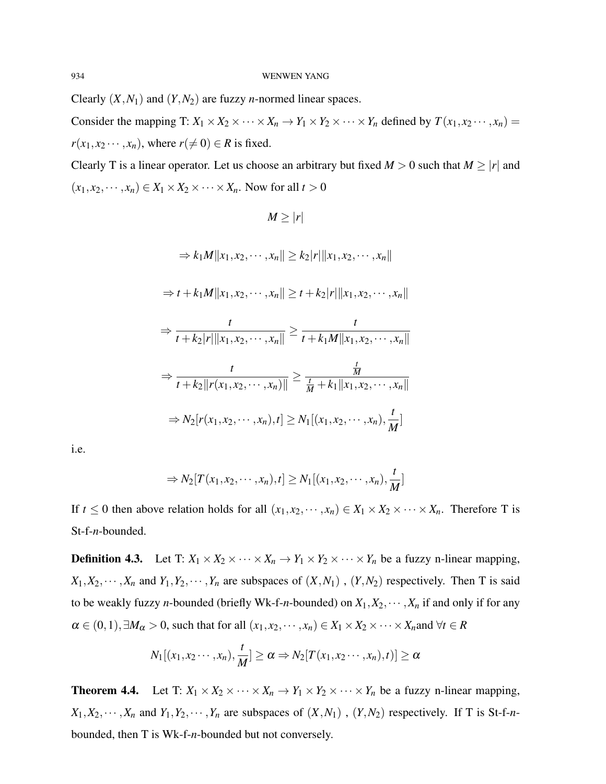Clearly  $(X, N_1)$  and  $(Y, N_2)$  are fuzzy *n*-normed linear spaces.

Consider the mapping T:  $X_1 \times X_2 \times \cdots \times X_n \to Y_1 \times Y_2 \times \cdots \times Y_n$  defined by  $T(x_1, x_2 \cdots, x_n) =$  $r(x_1, x_2 \cdots, x_n)$ , where  $r(\neq 0) \in R$  is fixed.

Clearly T is a linear operator. Let us choose an arbitrary but fixed  $M > 0$  such that  $M \ge |r|$  and  $(x_1, x_2, \dots, x_n) \in X_1 \times X_2 \times \dots \times X_n$ . Now for all  $t > 0$ 

$$
M \ge |r|
$$
  
\n
$$
\Rightarrow k_1 M \|x_1, x_2, \cdots, x_n\| \ge k_2 |r| \|x_1, x_2, \cdots, x_n\|
$$
  
\n
$$
\Rightarrow t + k_1 M \|x_1, x_2, \cdots, x_n\| \ge t + k_2 |r| \|x_1, x_2, \cdots, x_n\|
$$
  
\n
$$
\Rightarrow \frac{t}{t + k_2 |r| \|x_1, x_2, \cdots, x_n\|} \ge \frac{t}{t + k_1 M \|x_1, x_2, \cdots, x_n\|}
$$
  
\n
$$
\Rightarrow \frac{t}{t + k_2 \|r(x_1, x_2, \cdots, x_n)\|} \ge \frac{\frac{t}{M}}{t + k_1 \|x_1, x_2, \cdots, x_n\|}
$$
  
\n
$$
\Rightarrow N_2 [r(x_1, x_2, \cdots, x_n), t] \ge N_1 [(x_1, x_2, \cdots, x_n), \frac{t}{M}]
$$

i.e.

$$
\Rightarrow N_2[T(x_1,x_2,\cdots,x_n),t] \ge N_1[(x_1,x_2,\cdots,x_n),\frac{t}{M}]
$$

If  $t \leq 0$  then above relation holds for all  $(x_1, x_2, \dots, x_n) \in X_1 \times X_2 \times \dots \times X_n$ . Therefore T is St-f-*n*-bounded.

**Definition 4.3.** Let T:  $X_1 \times X_2 \times \cdots \times X_n \to Y_1 \times Y_2 \times \cdots \times Y_n$  be a fuzzy n-linear mapping,  $X_1, X_2, \dots, X_n$  and  $Y_1, Y_2, \dots, Y_n$  are subspaces of  $(X, N_1)$ ,  $(Y, N_2)$  respectively. Then T is said to be weakly fuzzy *n*-bounded (briefly Wk-f-*n*-bounded) on  $X_1, X_2, \cdots, X_n$  if and only if for any  $\alpha \in (0,1), \exists M_{\alpha} > 0$ , such that for all  $(x_1, x_2, \dots, x_n) \in X_1 \times X_2 \times \dots \times X_n$  and  $\forall t \in R$ 

$$
N_1[(x_1,x_2\cdots,x_n),\frac{t}{M}] \ge \alpha \Rightarrow N_2[T(x_1,x_2\cdots,x_n),t)] \ge \alpha
$$

**Theorem 4.4.** Let T:  $X_1 \times X_2 \times \cdots \times X_n \to Y_1 \times Y_2 \times \cdots \times Y_n$  be a fuzzy n-linear mapping,  $X_1, X_2, \dots, X_n$  and  $Y_1, Y_2, \dots, Y_n$  are subspaces of  $(X, N_1)$ ,  $(Y, N_2)$  respectively. If T is St-f-*n*bounded, then T is Wk-f-*n*-bounded but not conversely.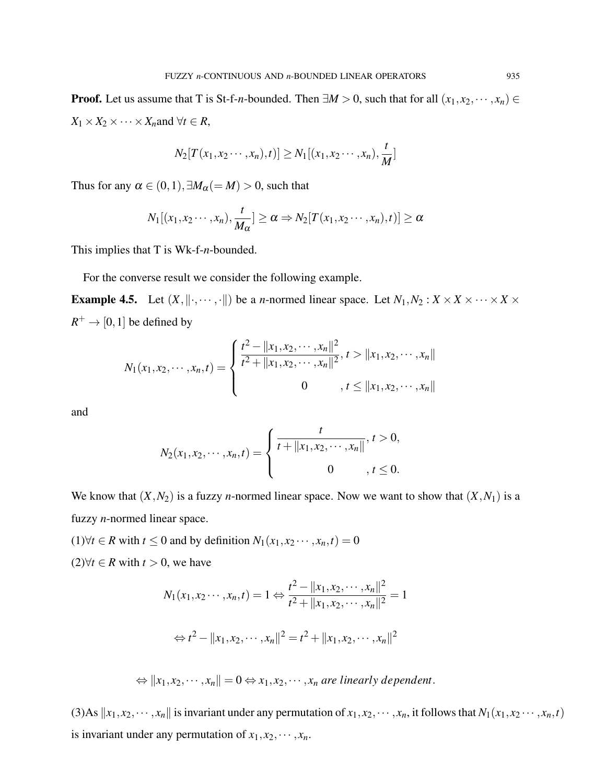**Proof.** Let us assume that T is St-f-*n*-bounded. Then  $\exists M > 0$ , such that for all  $(x_1, x_2, \dots, x_n) \in$  $X_1 \times X_2 \times \cdots \times X_n$  and  $\forall t \in R$ ,

$$
N_2[T(x_1, x_2 \cdots, x_n), t)] \ge N_1[(x_1, x_2 \cdots, x_n), \frac{t}{M}]
$$

Thus for any  $\alpha \in (0,1), \exists M_{\alpha} (= M) > 0$ , such that

$$
N_1[(x_1,x_2\cdots,x_n),\frac{t}{M_{\alpha}}]\geq \alpha \Rightarrow N_2[T(x_1,x_2\cdots,x_n),t)]\geq \alpha
$$

This implies that T is Wk-f-*n*-bounded.

For the converse result we consider the following example.

**Example 4.5.** Let  $(X, \|\cdot, \cdots, \cdot\|)$  be a *n*-normed linear space. Let  $N_1, N_2 : X \times X \times \cdots \times X \times$  $R^+ \to [0, 1]$  be defined by

$$
N_1(x_1, x_2, \cdots, x_n, t) = \begin{cases} \frac{t^2 - ||x_1, x_2, \cdots, x_n||^2}{t^2 + ||x_1, x_2, \cdots, x_n||^2}, t > ||x_1, x_2, \cdots, x_n|| \\ 0, \quad t \le ||x_1, x_2, \cdots, x_n|| \end{cases}
$$

and

$$
N_2(x_1, x_2, \cdots, x_n, t) = \begin{cases} \frac{t}{t + \|x_1, x_2, \cdots, x_n\|}, t > 0, \\ 0, t \leq 0. \end{cases}
$$

We know that  $(X, N_2)$  is a fuzzy *n*-normed linear space. Now we want to show that  $(X, N_1)$  is a fuzzy *n*-normed linear space.

(1)∀*t* ∈ *R* with *t* ≤ 0 and by definition  $N_1(x_1, x_2 \cdots, x_n, t) = 0$ 

(2)∀ $t \in R$  with  $t > 0$ , we have

$$
N_1(x_1, x_2 \cdots, x_n, t) = 1 \Leftrightarrow \frac{t^2 - ||x_1, x_2, \cdots, x_n||^2}{t^2 + ||x_1, x_2, \cdots, x_n||^2} = 1
$$

$$
\Leftrightarrow t^2 - ||x_1, x_2, \cdots, x_n||^2 = t^2 + ||x_1, x_2, \cdots, x_n||^2
$$

 $\Leftrightarrow$   $||x_1, x_2, \cdots, x_n|| = 0 \Leftrightarrow x_1, x_2, \cdots, x_n$  are linearly dependent.

(3)As  $\|x_1, x_2, \dots, x_n\|$  is invariant under any permutation of  $x_1, x_2, \dots, x_n$ , it follows that  $N_1(x_1, x_2, \dots, x_n, t)$ is invariant under any permutation of  $x_1, x_2, \dots, x_n$ .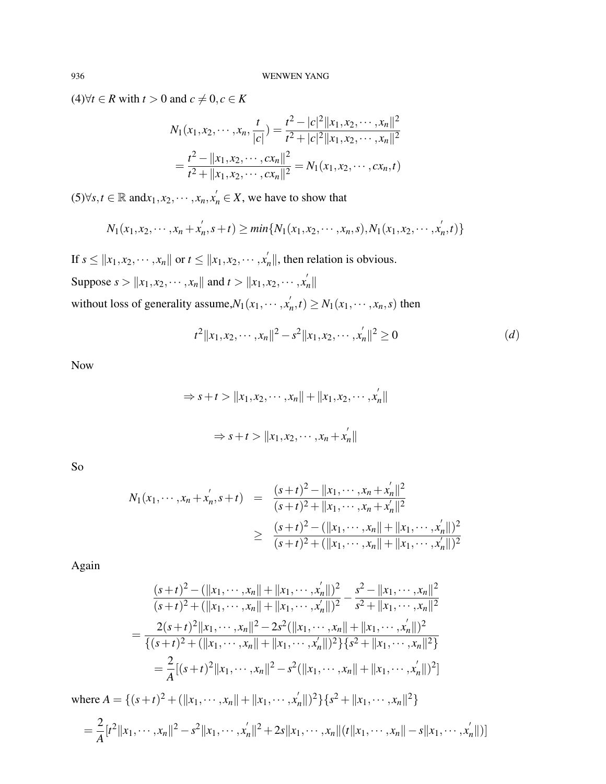$(4)$ ∀*t* ∈ *R* with *t* > 0 and  $c \neq 0, c \in K$ 

$$
N_1(x_1, x_2, \cdots, x_n, \frac{t}{|c|}) = \frac{t^2 - |c|^2 ||x_1, x_2, \cdots, x_n||^2}{t^2 + |c|^2 ||x_1, x_2, \cdots, x_n||^2}
$$
  
= 
$$
\frac{t^2 - ||x_1, x_2, \cdots, cx_n||^2}{t^2 + ||x_1, x_2, \cdots, cx_n||^2} = N_1(x_1, x_2, \cdots, cx_n, t)
$$

(5)∀*s*, *t* ∈ ℝ and $x_1, x_2, \dots, x_n, x'_n$  ∈ *X*, we have to show that

$$
N_1(x_1, x_2, \cdots, x_n + x'_n, s+t) \geq min\{N_1(x_1, x_2, \cdots, x_n, s), N_1(x_1, x_2, \cdots, x'_n, t)\}\
$$

If  $s \le ||x_1, x_2, \dots, x_n||$  or  $t \le ||x_1, x_2, \dots, x_n'||$ , then relation is obvious. Suppose  $s > ||x_1, x_2, \dots, x_n||$  and  $t > ||x_1, x_2, \dots, x_n'||$ without loss of generality assume, $N_1(x_1, \dots, x_n)$  $N_n$ ,  $t) \geq N_1(x_1, \dots, x_n, s)$  then

$$
t^{2} \|x_{1}, x_{2}, \cdots, x_{n}\|^{2} - s^{2} \|x_{1}, x_{2}, \cdots, x_{n}'\|^{2} \ge 0
$$
 (d)

Now

$$
\Rightarrow s+t > \|x_1, x_2, \cdots, x_n\| + \|x_1, x_2, \cdots, x'_n\|
$$
  

$$
\Rightarrow s+t > \|x_1, x_2, \cdots, x_n + x'_n\|
$$

So

$$
N_1(x_1, \dots, x_n + x'_n, s+t) = \frac{(s+t)^2 - ||x_1, \dots, x_n + x'_n||^2}{(s+t)^2 + ||x_1, \dots, x_n + x'_n||^2}
$$
  
\n
$$
\geq \frac{(s+t)^2 - (||x_1, \dots, x_n|| + ||x_1, \dots, x'_n||)^2}{(s+t)^2 + (||x_1, \dots, x_n|| + ||x_1, \dots, x'_n||)^2}
$$

Again

$$
\frac{(s+t)^2 - (\|x_1, \dots, x_n\| + \|x_1, \dots, x_n'\|)^2}{(s+t)^2 + (\|x_1, \dots, x_n\| + \|x_1, \dots, x_n'\|)^2} - \frac{s^2 - \|x_1, \dots, x_n\|^2}{s^2 + \|x_1, \dots, x_n\|^2}
$$
\n
$$
= \frac{2(s+t)^2 \|x_1, \dots, x_n\|^2 - 2s^2 (\|x_1, \dots, x_n\| + \|x_1, \dots, x_n'\|)^2}{\{(s+t)^2 + (\|x_1, \dots, x_n\| + \|x_1, \dots, x_n'\|)^2\} \{s^2 + \|x_1, \dots, x_n\|^2\}}
$$
\n
$$
= \frac{2}{A} [(s+t)^2 \|x_1, \dots, x_n\|^2 - s^2 (\|x_1, \dots, x_n\| + \|x_1, \dots, x_n'\|)^2]
$$
\nwhere  $A = \{(s+t)^2 + (\|x_1, \dots, x_n\| + \|x_1, \dots, x_n'\|)^2\} \{s^2 + \|x_1, \dots, x_n\|^2\}$ 

$$
= \frac{2}{A}[t^2||x_1,\dots,x_n||^2 - s^2||x_1,\dots,x_n||^2 + 2s||x_1,\dots,x_n||(t||x_1,\dots,x_n||-s||x_1,\dots,x_n'||)]
$$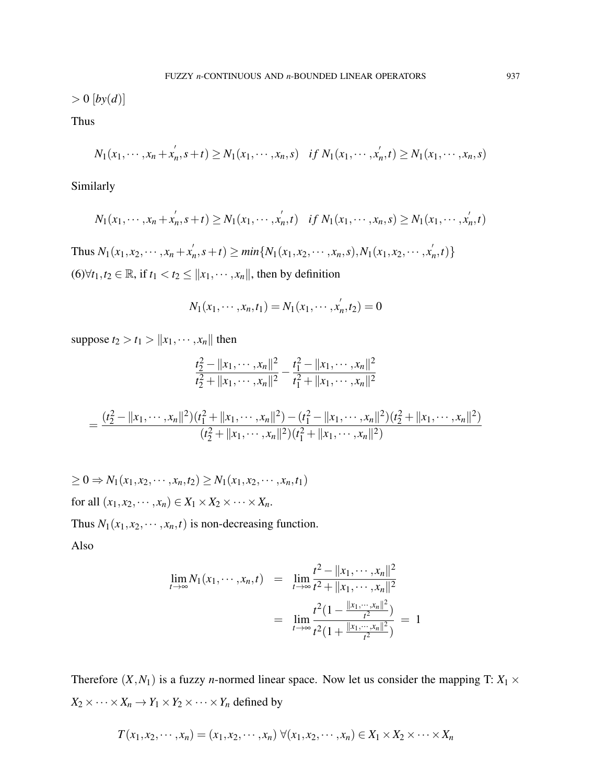$> 0$  [by(d)]

Thus

$$
N_1(x_1, \cdots, x_n + x'_n, s+t) \ge N_1(x_1, \cdots, x_n, s) \quad \text{if } N_1(x_1, \cdots, x'_n, t) \ge N_1(x_1, \cdots, x_n, s)
$$

Similarly

$$
N_1(x_1, \cdots, x_n + x'_n, s+t) \geq N_1(x_1, \cdots, x'_n, t) \quad \text{if } N_1(x_1, \cdots, x_n, s) \geq N_1(x_1, \cdots, x'_n, t)
$$

Thus  $N_1(x_1, x_2, \dots, x_n + x'_n)$  $n'_n, s+t) \ge \min\{N_1(x_1, x_2, \cdots, x_n, s), N_1(x_1, x_2, \cdots, x_n)\}$  $'_{n}$ , *t*) } (6)∀ $t_1, t_2 \in \mathbb{R}$ , if  $t_1 < t_2 \le ||x_1, \cdots, x_n||$ , then by definition

$$
N_1(x_1, \cdots, x_n, t_1) = N_1(x_1, \cdots, x_n', t_2) = 0
$$

suppose  $t_2 > t_1 > ||x_1, \dots, x_n||$  then

$$
\frac{t_2^2 - ||x_1, \cdots, x_n||^2}{t_2^2 + ||x_1, \cdots, x_n||^2} - \frac{t_1^2 - ||x_1, \cdots, x_n||^2}{t_1^2 + ||x_1, \cdots, x_n||^2}
$$

$$
=\frac{(t_2^2-\|x_1,\dots,x_n\|^2)(t_1^2+\|x_1,\dots,x_n\|^2)-(t_1^2-\|x_1,\dots,x_n\|^2)(t_2^2+\|x_1,\dots,x_n\|^2)}{(t_2^2+\|x_1,\dots,x_n\|^2)(t_1^2+\|x_1,\dots,x_n\|^2)}
$$

$$
\geq 0 \Rightarrow N_1(x_1, x_2, \cdots, x_n, t_2) \geq N_1(x_1, x_2, \cdots, x_n, t_1)
$$
  
for all  $(x_1, x_2, \cdots, x_n) \in X_1 \times X_2 \times \cdots \times X_n$ .

Thus  $N_1(x_1, x_2, \dots, x_n, t)$  is non-decreasing function.

Also

$$
\lim_{t \to \infty} N_1(x_1, \dots, x_n, t) = \lim_{t \to \infty} \frac{t^2 - ||x_1, \dots, x_n||^2}{t^2 + ||x_1, \dots, x_n||^2}
$$

$$
= \lim_{t \to \infty} \frac{t^2 (1 - \frac{||x_1, \dots, x_n||^2}{t^2})}{t^2 (1 + \frac{||x_1, \dots, x_n||^2}{t^2})} = 1
$$

Therefore  $(X, N_1)$  is a fuzzy *n*-normed linear space. Now let us consider the mapping T:  $X_1 \times$  $X_2 \times \cdots \times X_n \to Y_1 \times Y_2 \times \cdots \times Y_n$  defined by

$$
T(x_1,x_2,\dots,x_n)=(x_1,x_2,\dots,x_n)\,\forall(x_1,x_2,\dots,x_n)\in X_1\times X_2\times\cdots\times X_n
$$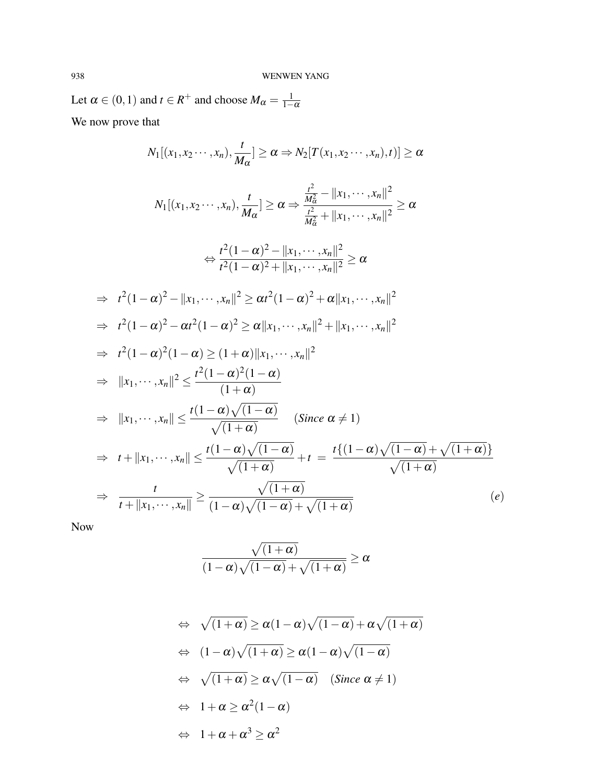Let  $\alpha \in (0,1)$  and  $t \in R^+$  and choose  $M_{\alpha} = \frac{1}{1-\alpha}$  $1-\alpha$ We now prove that

$$
N_{1}[(x_{1},x_{2}\cdots,x_{n}),\frac{t}{M_{\alpha}}] \geq \alpha \Rightarrow N_{2}[T(x_{1},x_{2}\cdots,x_{n}),t)] \geq \alpha
$$
\n
$$
N_{1}[(x_{1},x_{2}\cdots,x_{n}),\frac{t}{M_{\alpha}}] \geq \alpha \Rightarrow \frac{\frac{t^{2}}{M_{\alpha}^{2}} - ||x_{1},\cdots,x_{n}||^{2}}{\frac{t^{2}}{M_{\alpha}^{2}} + ||x_{1},\cdots,x_{n}||^{2}} \geq \alpha
$$
\n
$$
\Leftrightarrow \frac{t^{2}(1-\alpha)^{2} - ||x_{1},\cdots,x_{n}||^{2}}{t^{2}(1-\alpha)^{2} + ||x_{1},\cdots,x_{n}||^{2}} \geq \alpha
$$
\n
$$
\Rightarrow t^{2}(1-\alpha)^{2} - ||x_{1},\cdots,x_{n}||^{2} \geq \alpha t^{2}(1-\alpha)^{2} + \alpha||x_{1},\cdots,x_{n}||^{2}
$$
\n
$$
\Rightarrow t^{2}(1-\alpha)^{2} - \alpha t^{2}(1-\alpha)^{2} \geq \alpha||x_{1},\cdots,x_{n}||^{2} + ||x_{1},\cdots,x_{n}||^{2}
$$
\n
$$
\Rightarrow t^{2}(1-\alpha)^{2}(1-\alpha) \geq (1+\alpha)||x_{1},\cdots,x_{n}||^{2}
$$
\n
$$
\Rightarrow ||x_{1},\cdots,x_{n}|| \leq \frac{t^{2}(1-\alpha)^{2}(1-\alpha)}{(1+\alpha)}
$$
\n
$$
\Rightarrow ||x_{1},\cdots,x_{n}|| \leq \frac{t(1-\alpha)\sqrt{(1-\alpha)}}{\sqrt{(1+\alpha)}}
$$
 (Since  $\alpha \neq 1$ )\n
$$
\Rightarrow t + ||x_{1},\cdots,x_{n}|| \leq \frac{t(1-\alpha)\sqrt{(1-\alpha)}}{\sqrt{(1+\alpha)}} + t = \frac{t\{(1-\alpha)\sqrt{(1-\alpha)} + \sqrt{(1+\alpha)}\}}{\sqrt{(1+\alpha)}}
$$
\n
$$
\Rightarrow \frac{t}{t+||x_{1},\cdots,x_{n}||} \geq \frac{\sqrt{(1+\alpha)}}{(1-\alpha)\sqrt{(1-\alpha)} + \sqrt{(1+\alpha)}}
$$
 (e)

Now

$$
\frac{\sqrt{(1+\alpha)}}{(1-\alpha)\sqrt{(1-\alpha)}+\sqrt{(1+\alpha)}} \geq \alpha
$$

$$
\Leftrightarrow \sqrt{(1+\alpha)} \ge \alpha(1-\alpha)\sqrt{(1-\alpha)} + \alpha\sqrt{(1+\alpha)}
$$
  
\n
$$
\Leftrightarrow (1-\alpha)\sqrt{(1+\alpha)} \ge \alpha(1-\alpha)\sqrt{(1-\alpha)}
$$
  
\n
$$
\Leftrightarrow \sqrt{(1+\alpha)} \ge \alpha\sqrt{(1-\alpha)} \quad \text{(Since } \alpha \ne 1)
$$
  
\n
$$
\Leftrightarrow 1 + \alpha \ge \alpha^2(1-\alpha)
$$
  
\n
$$
\Leftrightarrow 1 + \alpha + \alpha^3 \ge \alpha^2
$$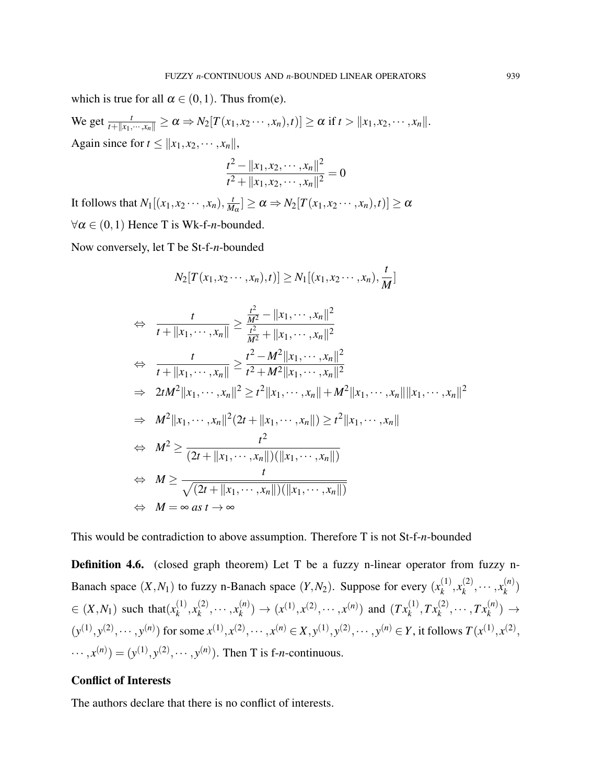which is true for all  $\alpha \in (0,1)$ . Thus from(e).  $\text{We get } \frac{t}{t + \|x_1, \dots, x_n\|} \ge \alpha \Rightarrow N_2[T(x_1, x_2 \dots, x_n), t)] \ge \alpha \text{ if } t > \|x_1, x_2, \dots, x_n\|.$ Again since for  $t \leq ||x_1, x_2, \cdots, x_n||$ ,

$$
\frac{t^2 - ||x_1, x_2, \cdots, x_n||^2}{t^2 + ||x_1, x_2, \cdots, x_n||^2} = 0
$$

It follows that  $N_1[(x_1, x_2 \cdots, x_n), \frac{t}{M}]$  $\frac{d}{dM_{\alpha}}$ ]  $\geq \alpha \Rightarrow N_2[T(x_1, x_2 \cdots, x_n), t)] \geq \alpha$  $\forall \alpha \in (0,1)$  Hence T is Wk-f-*n*-bounded.

Now conversely, let T be St-f-*n*-bounded

$$
N_2[T(x_1, x_2 \cdots, x_n), t)] \ge N_1[(x_1, x_2 \cdots, x_n), \frac{t}{M}]
$$
  
\n
$$
\Leftrightarrow \frac{t}{t + ||x_1, \cdots, x_n||} \ge \frac{\frac{t^2}{M^2} - ||x_1, \cdots, x_n||^2}{\frac{t^2}{M^2} + ||x_1, \cdots, x_n||^2}
$$
  
\n
$$
\Leftrightarrow \frac{t}{t + ||x_1, \cdots, x_n||} \ge \frac{t^2 - M^2 ||x_1, \cdots, x_n||^2}{t^2 + M^2 ||x_1, \cdots, x_n||^2}
$$
  
\n
$$
\Rightarrow 2tM^2 ||x_1, \cdots, x_n||^2 \ge t^2 ||x_1, \cdots, x_n|| + M^2 ||x_1, \cdots, x_n|| ||x_1, \cdots, x_n||^2
$$
  
\n
$$
\Rightarrow M^2 ||x_1, \cdots, x_n||^2 (2t + ||x_1, \cdots, x_n||) \ge t^2 ||x_1, \cdots, x_n||
$$
  
\n
$$
\Leftrightarrow M^2 \ge \frac{t^2}{(2t + ||x_1, \cdots, x_n||)(||x_1, \cdots, x_n||)}
$$
  
\n
$$
\Leftrightarrow M \ge \frac{t}{\sqrt{(2t + ||x_1, \cdots, x_n||)(||x_1, \cdots, x_n||)}}
$$
  
\n
$$
\Leftrightarrow M = \infty \text{ as } t \to \infty
$$

This would be contradiction to above assumption. Therefore T is not St-f-*n*-bounded

**Definition 4.6.** (closed graph theorem) Let T be a fuzzy n-linear operator from fuzzy n-Banach space  $(X, N_1)$  to fuzzy n-Banach space  $(Y, N_2)$ . Suppose for every  $(x_k^{(1)})$  $x_k^{(1)}, x_k^{(2)}$  $x_k^{(2)}, \cdots, x_k^{(n)}$  $\binom{n}{k}$  $\in$   $(X, N_1)$  such that $(x_k^{(1)})$  $x_k^{(1)}, x_k^{(2)}$  $x_k^{(2)}, \cdots, x_k^{(n)}$  $f_k^{(n)}$   $\rightarrow$   $(x^{(1)}, x^{(2)}, \cdots, x^{(n)})$  and  $(Tx_k^{(1)}, Tx_k^{(2)}, \cdots, Tx_k^{(n)}) \rightarrow$  $(y^{(1)}, y^{(2)}, \dots, y^{(n)})$  for some  $x^{(1)}, x^{(2)}, \dots, x^{(n)} \in X, y^{(1)}, y^{(2)}, \dots, y^{(n)} \in Y$ , it follows  $T(x^{(1)}, x^{(2)}, y^{(2)}, \dots, y^{(n)})$  $\cdots$ ,  $x^{(n)}$ ) = ( $y^{(1)}$ ,  $y^{(2)}$ ,  $\cdots$ ,  $y^{(n)}$ ). Then T is f-*n*-continuous.

### Conflict of Interests

The authors declare that there is no conflict of interests.